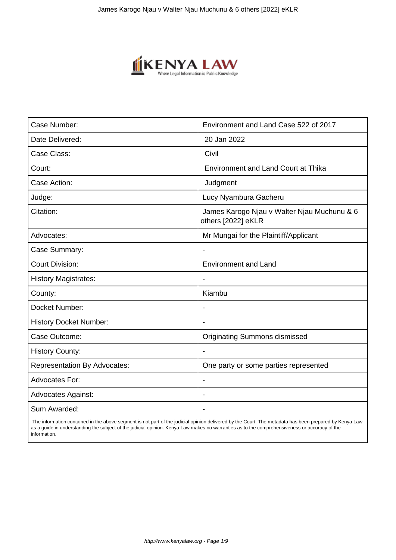

| Case Number:                        | Environment and Land Case 522 of 2017                             |
|-------------------------------------|-------------------------------------------------------------------|
| Date Delivered:                     | 20 Jan 2022                                                       |
| Case Class:                         | Civil                                                             |
| Court:                              | <b>Environment and Land Court at Thika</b>                        |
| Case Action:                        | Judgment                                                          |
| Judge:                              | Lucy Nyambura Gacheru                                             |
| Citation:                           | James Karogo Njau v Walter Njau Muchunu & 6<br>others [2022] eKLR |
| Advocates:                          | Mr Mungai for the Plaintiff/Applicant                             |
| Case Summary:                       |                                                                   |
| <b>Court Division:</b>              | <b>Environment and Land</b>                                       |
| <b>History Magistrates:</b>         | $\blacksquare$                                                    |
| County:                             | Kiambu                                                            |
| Docket Number:                      |                                                                   |
| <b>History Docket Number:</b>       |                                                                   |
| Case Outcome:                       | <b>Originating Summons dismissed</b>                              |
| <b>History County:</b>              | $\blacksquare$                                                    |
| <b>Representation By Advocates:</b> | One party or some parties represented                             |
| <b>Advocates For:</b>               | $\overline{\phantom{a}}$                                          |
| <b>Advocates Against:</b>           |                                                                   |
| Sum Awarded:                        |                                                                   |

 The information contained in the above segment is not part of the judicial opinion delivered by the Court. The metadata has been prepared by Kenya Law as a guide in understanding the subject of the judicial opinion. Kenya Law makes no warranties as to the comprehensiveness or accuracy of the information.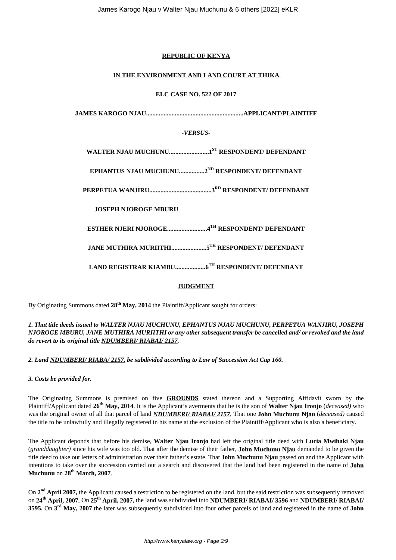## **REPUBLIC OF KENYA**

## **IN THE ENVIRONMENT AND LAND COURT AT THIKA**

## **ELC CASE NO. 522 OF 2017**

**JAMES KAROGO NJAU.............................................................APPLICANT/PLAINTIFF**

## *-VERSUS-*

**WALTER NJAU MUCHUNU.........................1ST RESPONDENT/ DEFENDANT**

**EPHANTUS NJAU MUCHUNU................2ND RESPONDENT/ DEFENDANT**

**PERPETUA WANJIRU.......................................3RD RESPONDENT/ DEFENDANT**

**JOSEPH NJOROGE MBURU**

**ESTHER NJERI NJOROGE.........................4TH RESPONDENT/ DEFENDANT**

**JANE MUTHIRA MURIITHI......................5TH RESPONDENT/ DEFENDANT**

**LAND REGISTRAR KIAMBU...................6TH RESPONDENT/ DEFENDANT**

## **JUDGMENT**

By Originating Summons dated **28th May, 2014** the Plaintiff/Applicant sought for orders:

## *1. That title deeds issued to WALTER NJAU MUCHUNU, EPHANTUS NJAU MUCHUNU, PERPETUA WANJIRU, JOSEPH NJOROGE MBURU, JANE MUTHIRA MURIITHI or any other subsequent transfer be cancelled and/ or revoked and the land do revert to its original title NDUMBERI/ RIABAI/ 2157.*

*2. Land NDUMBERI/ RIABA/ 2157, be subdivided according to Law of Succession Act Cap 160.* 

*3. Costs be provided for.* 

The Originating Summons is premised on five **GROUNDS** stated thereon and a Supporting Affidavit sworn by the Plaintiff/Applicant dated **26th May, 2014**. It is the Applicant's averments that he is the son of **Walter Njau Ironjo** (*deceased)* who was the original owner of all that parcel of land *NDUMBERI/ RIABAI/ 2157.* That one **John Muchunu Njau** (*deceased)* caused the title to be unlawfully and illegally registered in his name at the exclusion of the Plaintiff/Applicant who is also a beneficiary.

The Applicant deponds that before his demise, **Walter Njau Ironjo** had left the original title deed with **Lucia Mwihaki Njau** (*granddaughter)* since his wife was too old. That after the demise of their father, **John Muchunu Njau** demanded to be given the title deed to take out letters of administration over their father's estate. That **John Muchunu Njau** passed on and the Applicant with intentions to take over the succession carried out a search and discovered that the land had been registered in the name of **John Muchunu** on **28th March, 2007**.

On 2<sup>nd</sup> April 2007, the Applicant caused a restriction to be registered on the land, but the said restriction was subsequently removed on **24th April, 2007.** On **25th April, 2007,** the land was subdivided into **NDUMBERI/ RIABAI/ 3596** and **NDUMBERI/ RIABAI/ 3595.** On **3 rd May, 2007** the later was subsequently subdivided into four other parcels of land and registered in the name of **John**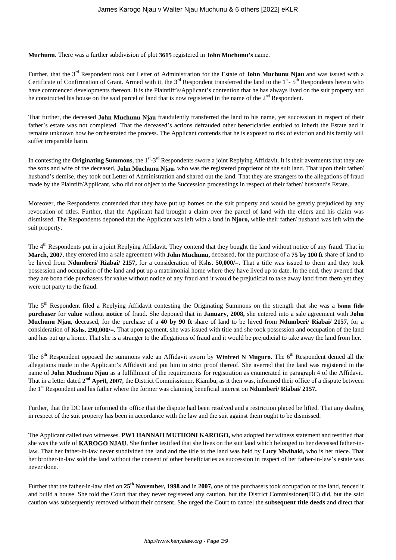**Muchunu**. There was a further subdivision of plot **3615** registered in **John Muchunu's** name.

Further, that the 3<sup>rd</sup> Respondent took out Letter of Administration for the Estate of **John Muchunu Njau** and was issued with a Certificate of Confirmation of Grant. Armed with it, the  $3<sup>rd</sup>$  Respondent transferred the land to the  $1<sup>st</sup>$ -  $5<sup>th</sup>$  Respondents herein who have commenced developments thereon. It is the Plaintiff's/Applicant's contention that he has always lived on the suit property and he constructed his house on the said parcel of land that is now registered in the name of the 2<sup>nd</sup> Respondent.

That further, the deceased **John Muchunu Njau** fraudulently transferred the land to his name, yet succession in respect of their father's estate was not completed. That the deceased's actions defrauded other beneficiaries entitled to inherit the Estate and it remains unknown how he orchestrated the process. The Applicant contends that he is exposed to risk of eviction and his family will suffer irreparable harm.

In contesting the **Originating Summons**, the 1<sup>st</sup>-3<sup>rd</sup> Respondents swore a joint Replying Affidavit. It is their averments that they are the sons and wife of the deceased, **John Muchunu Njau**, who was the registered proprietor of the suit land. That upon their father/ husband's demise, they took out Letter of Administration and shared out the land. That they are strangers to the allegations of fraud made by the Plaintiff/Applicant, who did not object to the Succession proceedings in respect of their father/ husband's Estate.

Moreover, the Respondents contended that they have put up homes on the suit property and would be greatly prejudiced by any revocation of titles. Further, that the Applicant had brought a claim over the parcel of land with the elders and his claim was dismissed. The Respondents deponed that the Applicant was left with a land in **Njoro,** while their father/ husband was left with the suit property.

The 4<sup>th</sup> Respondents put in a joint Replying Affidavit. They contend that they bought the land without notice of any fraud. That in **March, 2007**, they entered into a sale agreement with **John Muchunu,** deceased, for the purchase of a **75 by 100 ft** share of land to be hived from **Ndumberi/ Riabai/ 2157,** for a consideration of Kshs. **50,000/=.** That a title was issued to them and they took possession and occupation of the land and put up a matrimonial home where they have lived up to date. In the end, they averred that they are bona fide purchasers for value without notice of any fraud and it would be prejudicial to take away land from them yet they were not party to the fraud.

The 5th Respondent filed a Replying Affidavit contesting the Originating Summons on the strength that she was a **bona fide purchaser** for **value** without **notice** of fraud. She deponed that in **January, 2008,** she entered into a sale agreement with **John Muchunu Njau**, deceased, for the purchase of a **40 by 90 ft** share of land to be hived from **Ndumberi/ Riabai/ 2157,** for a consideration of **Kshs. 290,000/=.** That upon payment, she was issued with title and she took possession and occupation of the land and has put up a home. That she is a stranger to the allegations of fraud and it would be prejudicial to take away the land from her.

The 6<sup>th</sup> Respondent opposed the summons vide an Affidavit sworn by **Winfred N Muguro**. The 6<sup>th</sup> Respondent denied all the allegations made in the Applicant's Affidavit and put him to strict proof thereof. She averred that the land was registered in the name of **John Muchunu Njau** as a fulfillment of the requirements for registration as enumerated in paragraph 4 of the Affidavit. That in a letter dated 2<sup>nd</sup> April, 2007, the District Commissioner, Kiambu, as it then was, informed their office of a dispute between the 1<sup>st</sup> Respondent and his father where the former was claiming beneficial interest on **Ndumberi/ Riabai/ 2157.** 

Further, that the DC later informed the office that the dispute had been resolved and a restriction placed be lifted. That any dealing in respect of the suit property has been in accordance with the law and the suit against them ought to be dismissed.

The Applicant called two witnesses. **PW1 HANNAH MUTHONI KAROGO,** who adopted her witness statement and testified that she was the wife of **KAROGO NJAU.** She further testified that she lives on the suit land which belonged to her deceased father-inlaw. That her father-in-law never subdivided the land and the title to the land was held by **Lucy Mwihaki,** who is her niece. That her brother-in-law sold the land without the consent of other beneficiaries as succession in respect of her father-in-law's estate was never done.

Further that the father-in-law died on **25th November, 1998** and in **2007,** one of the purchasers took occupation of the land, fenced it and build a house. She told the Court that they never registered any caution, but the District Commissioner(DC) did, but the said caution was subsequently removed without their consent. She urged the Court to cancel the **subsequent title deeds** and direct that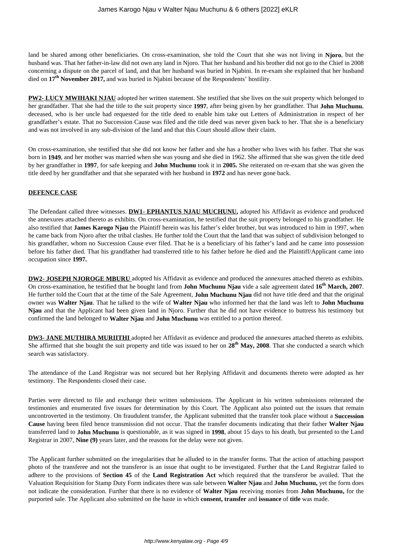land be shared among other beneficiaries. On cross-examination, she told the Court that she was not living in **Njoro**, but the husband was. That her father-in-law did not own any land in Njoro. That her husband and his brother did not go to the Chief in 2008 concerning a dispute on the parcel of land, and that her husband was buried in Njabini. In re-exam she explained that her husband died on **17th November 2017,** and was buried in Njabini because of the Respondents' hostility.

**PW2- LUCY MWIHAKI NJAU** adopted her written statement. She testified that she lives on the suit property which belonged to her grandfather. That she had the title to the suit property since **1997**, after being given by her grandfather. That **John Muchunu**, deceased, who is her uncle had requested for the title deed to enable him take out Letters of Administration in respect of her grandfather's estate. That no Succession Cause was filed and the title deed was never given back to her. That she is a beneficiary and was not involved in any sub-division of the land and that this Court should allow their claim.

On cross-examination, she testified that she did not know her father and she has a brother who lives with his father. That she was born in **1949**, and her mother was married when she was young and she died in 1962. She affirmed that she was given the title deed by her grandfather in **1997**, for safe keeping and **John Muchunu** took it in **2005.** She reiterated on re-exam that she was given the title deed by her grandfather and that she separated with her husband in **1972** and has never gone back.

## **DEFENCE CASE**

The Defendant called three witnesses. **DW1- EPHANTUS NJAU MUCHUNU,** adopted his Affidavit as evidence and produced the annexures attached thereto as exhibits. On cross-examination, he testified that the suit property belonged to his grandfather. He also testified that **James Karogo Njau** the Plaintiff herein was his father's elder brother, but was introduced to him in 1997, when he came back from Njoro after the tribal clashes. He further told the Court that the land that was subject of subdivision belonged to his grandfather, whom no Succession Cause ever filed. That he is a beneficiary of his father's land and he came into possession before his father died. That his grandfather had transferred title to his father before he died and the Plaintiff/Applicant came into occupation since **1997.**

**DW2- JOSEPH NJOROGE MBURU** adopted his Affidavit as evidence and produced the annexures attached thereto as exhibits. On cross-examination, he testified that he bought land from **John Muchunu Njau** vide a sale agreement dated **16th March, 2007**. He further told the Court that at the time of the Sale Agreement, **John Muchunu Njau** did not have title deed and that the original owner was **Walter Njau**. That he talked to the wife of **Walter Njau** who informed her that the land was left to **John Muchunu Njau** and that the Applicant had been given land in Njoro. Further that he did not have evidence to buttress his testimony but confirmed the land belonged to **Walter Njau** and **John Muchunu** was entitled to a portion thereof.

**DW3- JANE MUTHIRA MURIITHI** adopted her Affidavit as evidence and produced the annexures attached thereto as exhibits. She affirmed that she bought the suit property and title was issued to her on **28th May, 2008**. That she conducted a search which search was satisfactory.

The attendance of the Land Registrar was not secured but her Replying Affidavit and documents thereto were adopted as her testimony. The Respondents closed their case.

Parties were directed to file and exchange their written submissions. The Applicant in his written submissions reiterated the testimonies and enumerated five issues for determination by this Court. The Applicant also pointed out the issues that remain uncontroverted in the testimony. On fraudulent transfer, the Applicant submitted that the transfer took place without a **Succession Cause** having been filed hence transmission did not occur. That the transfer documents indicating that their father **Walter Njau** transferred land to **John Muchunu** is questionable, as it was signed in **1998**, about 15 days to his death, but presented to the Land Registrar in 2007, **Nine (9)** years later, and the reasons for the delay were not given.

The Applicant further submitted on the irregularities that he alluded to in the transfer forms. That the action of attaching passport photo of the transferee and not the transferor is an issue that ought to be investigated. Further that the Land Registrar failed to adhere to the provisions of **Section 45** of the **Land Registration Act** which required that the transferor be availed. That the Valuation Requisition for Stamp Duty Form indicates there was sale between **Walter Njau** and **John Muchunu,** yet the form does not indicate the consideration. Further that there is no evidence of **Walter Njau** receiving monies from **John Muchunu,** for the purported sale. The Applicant also submitted on the haste in which **consent, transfer** and **issuance** of **title** was made.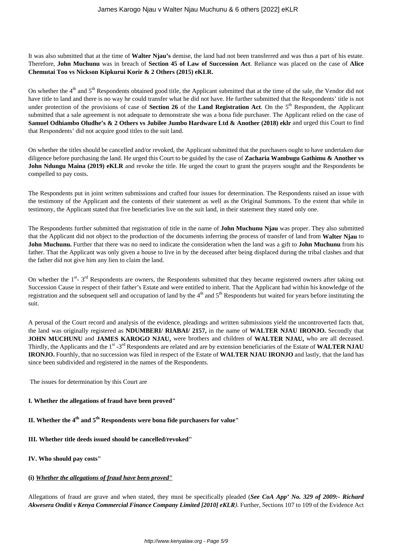It was also submitted that at the time of **Walter Njau's** demise, the land had not been transferred and was thus a part of his estate. Therefore, **John Muchunu** was in breach of **Section 45 of Law of Succession Act**. Reliance was placed on the case of **Alice Chemutai Too vs Nickson Kipkurui Korir & 2 Others (2015) eKLR.** 

On whether the 4<sup>th</sup> and 5<sup>th</sup> Respondents obtained good title, the Applicant submitted that at the time of the sale, the Vendor did not have title to land and there is no way he could transfer what he did not have. He further submitted that the Respondents' title is not under protection of the provisions of case of **Section 26** of the **Land Registration Act**. On the 5<sup>th</sup> Respondent, the Applicant submitted that a sale agreement is not adequate to demonstrate she was a bona fide purchaser. The Applicant relied on the case of **Samuel Odhiambo Oludhe's & 2 Others vs Jubilee Jumbo Hardware Ltd & Another (2018) eklr** and urged this Court to find that Respondents' did not acquire good titles to the suit land.

On whether the titles should be cancelled and/or revoked, the Applicant submitted that the purchasers ought to have undertaken due diligence before purchasing the land. He urged this Court to be guided by the case of **Zacharia Wambugu Gathimu & Another vs John Ndungu Maina (2019) eKLR** and revoke the title. He urged the court to grant the prayers sought and the Respondents be compelled to pay costs.

The Respondents put in joint written submissions and crafted four issues for determination. The Respondents raised an issue with the testimony of the Applicant and the contents of their statement as well as the Original Summons. To the extent that while in testimony, the Applicant stated that five beneficiaries live on the suit land, in their statement they stated only one.

The Respondents further submitted that registration of title in the name of **John Muchunu Njau** was proper. They also submitted that the Applicant did not object to the production of the documents inferring the process of transfer of land from **Walter Njau** to **John Muchunu.** Further that there was no need to indicate the consideration when the land was a gift to **John Muchunu** from his father. That the Applicant was only given a house to live in by the deceased after being displaced during the tribal clashes and that the father did not give him any lien to claim the land.

On whether the  $1^{st}$ -  $3^{rd}$  Respondents are owners, the Respondents submitted that they became registered owners after taking out Succession Cause in respect of their father's Estate and were entitled to inherit. That the Applicant had within his knowledge of the registration and the subsequent sell and occupation of land by the 4<sup>th</sup> and 5<sup>th</sup> Respondents but waited for years before instituting the suit.

A perusal of the Court record and analysis of the evidence, pleadings and written submissions yield the uncontroverted facts that, the land was originally registered as **NDUMBERI/ RIABAI/ 2157,** in the name of **WALTER NJAU IRONJO.** Secondly that **JOHN MUCHUNU** and **JAMES KAROGO NJAU,** were brothers and children of **WALTER NJAU,** who are all deceased. Thirdly, the Applicants and the 1<sup>st</sup> -3<sup>rd</sup> Respondents are related and are by extension beneficiaries of the Estate of WALTER NJAU **IRONJO.** Fourthly, that no succession was filed in respect of the Estate of **WALTER NJAU IRONJO** and lastly, that the land has since been subdivided and registered in the names of the Respondents.

The issues for determination by this Court are

#### **I. Whether the allegations of fraud have been proved"**

# **II. Whether the 4th and 5th Respondents were bona fide purchasers for value"**

#### **III. Whether title deeds issued should be cancelled/revoked"**

#### **IV. Who should pay costs"**

#### **(i)** *Whether the allegations of fraud have been proved"*

Allegations of fraud are grave and when stated, they must be specifically pleaded (*See CoA App' No. 329 of 2009:- Richard Akwesera Onditi v Kenya Commercial Finance Company Limited [2010] eKLR).* Further, *S*ections 107 to 109 of the Evidence Act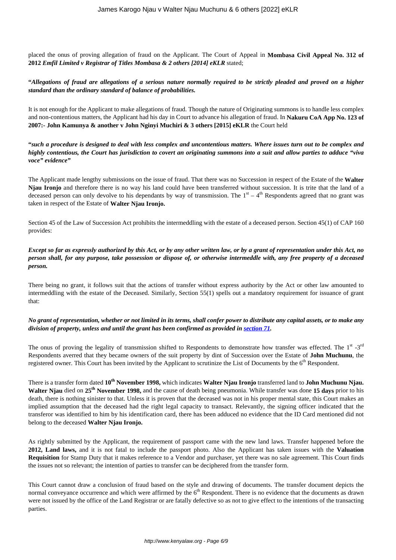placed the onus of proving allegation of fraud on the Applicant. The Court of Appeal in **Mombasa Civil Appeal No. 312 of 2012** *Emfil Limited v Registrar of Titles Mombasa & 2 others [2014] eKLR* stated;

## **"***Allegations of fraud are allegations of a serious nature normally required to be strictly pleaded and proved on a higher standard than the ordinary standard of balance of probabilities.*

It is not enough for the Applicant to make allegations of fraud. Though the nature of Originating summons is to handle less complex and non-contentious matters, the Applicant had his day in Court to advance his allegation of fraud. In **Nakuru CoA App No. 123 of 2007:- John Kamunya & another v John Nginyi Muchiri & 3 others [2015] eKLR** the Court held

**"***such a procedure is designed to deal with less complex and uncontentious matters. Where issues turn out to be complex and highly contentious, the Court has jurisdiction to covert an originating summons into a suit and allow parties to adduce "viva voce" evidence"*

The Applicant made lengthy submissions on the issue of fraud. That there was no Succession in respect of the Estate of the **Walter Njau Ironjo** and therefore there is no way his land could have been transferred without succession. It is trite that the land of a deceased person can only devolve to his dependants by way of transmission. The  $1<sup>st</sup> - 4<sup>th</sup>$  Respondents agreed that no grant was taken in respect of the Estate of **Walter Njau Ironjo.**

Section 45 of the Law of Succession Act prohibits the intermeddling with the estate of a deceased person. Section 45(1) of CAP 160 provides:

## *Except so far as expressly authorized by this Act, or by any other written law, or by a grant of representation under this Act, no person shall, for any purpose, take possession or dispose of, or otherwise intermeddle with, any free property of a deceased person.*

There being no grant, it follows suit that the actions of transfer without express authority by the Act or other law amounted to intermeddling with the estate of the Deceased. Similarly, Section 55(1) spells out a mandatory requirement for issuance of grant that:

## *No grant of representation, whether or not limited in its terms, shall confer power to distribute any capital assets, or to make any division of property, unless and until the grant has been confirmed as provided in [section 71](http://www.kenyalaw.org/lex/actview.xql"actid=CAP.%20160#KE/LEG/EN/AR/L/CHAPTER%20160/sec_71).*

The onus of proving the legality of transmission shifted to Respondents to demonstrate how transfer was effected. The  $1^{st}$  -3<sup>rd</sup> Respondents averred that they became owners of the suit property by dint of Succession over the Estate of **John Muchunu**, the registered owner. This Court has been invited by the Applicant to scrutinize the List of Documents by the  $6<sup>th</sup>$  Respondent.

There is a transfer form dated **10th November 1998,** which indicates **Walter Njau Ironjo** transferred land to **John Muchunu Njau. Walter Njau** died on **25th November 1998,** and the cause of death being pneumonia. While transfer was done **15 days** prior to his death, there is nothing sinister to that. Unless it is proven that the deceased was not in his proper mental state, this Court makes an implied assumption that the deceased had the right legal capacity to transact. Relevantly, the signing officer indicated that the transferor was identified to him by his identification card, there has been adduced no evidence that the ID Card mentioned did not belong to the deceased **Walter Njau Ironjo.**

As rightly submitted by the Applicant, the requirement of passport came with the new land laws. Transfer happened before the **2012, Land laws,** and it is not fatal to include the passport photo. Also the Applicant has taken issues with the **Valuation Requisition** for Stamp Duty that it makes reference to a Vendor and purchaser, yet there was no sale agreement. This Court finds the issues not so relevant; the intention of parties to transfer can be deciphered from the transfer form.

This Court cannot draw a conclusion of fraud based on the style and drawing of documents. The transfer document depicts the normal conveyance occurrence and which were affirmed by the  $6<sup>th</sup>$  Respondent. There is no evidence that the documents as drawn were not issued by the office of the Land Registrar or are fatally defective so as not to give effect to the intentions of the transacting parties.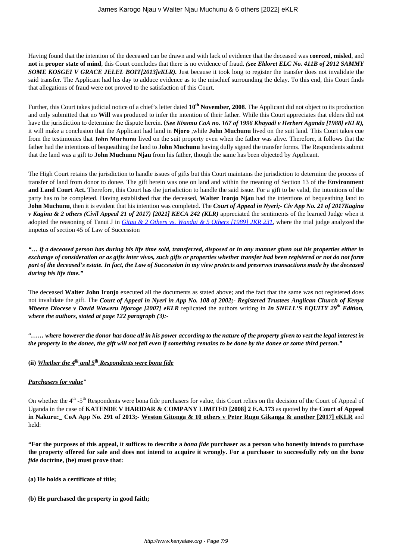Having found that the intention of the deceased can be drawn and with lack of evidence that the deceased was **coerced, misled**, and **not** in **proper state of mind**, this Court concludes that there is no evidence of fraud. *(see Eldoret ELC No. 411B of 2012 SAMMY* **SOME KOSGEI V GRACE JELEL BOIT[2013]eKLR).** Just because it took long to register the transfer does not invalidate the said transfer. The Applicant had his day to adduce evidence as to the mischief surrounding the delay. To this end, this Court finds that allegations of fraud were not proved to the satisfaction of this Court.

Further, this Court takes judicial notice of a chief's letter dated **10th November, 2008**. The Applicant did not object to its production and only submitted that no **Will** was produced to infer the intention of their father. While this Court appreciates that elders did not have the jurisdiction to determine the dispute herein. (*See Kisumu CoA no. 167 of 1996 Khayadi v Herbert Aganda [1988] eKLR),* it will make a conclusion that the Applicant had land in **Njoro** ,while **John Muchunu** lived on the suit land. This Court takes cue from the testimonies that **John Muchunu** lived on the suit property even when the father was alive. Therefore, it follows that the father had the intentions of bequeathing the land to **John Muchunu** having dully signed the transfer forms. The Respondents submit that the land was a gift to **John Muchunu Njau** from his father, though the same has been objected by Applicant.

The High Court retains the jurisdiction to handle issues of gifts but this Court maintains the jurisdiction to determine the process of transfer of land from donor to donee. The gift herein was one on land and within the meaning of Section 13 of the **Environment and Land Court Act.** Therefore, this Court has the jurisdiction to handle the said issue. For a gift to be valid, the intentions of the party has to be completed. Having established that the deceased, **Walter Ironjo Njau** had the intentions of bequeathing land to **John Muchunu**, then it is evident that his intention was completed. The *Court of Appeal in Nyeri;- Civ App No. 21 of 2017Kagina v Kagina & 2 others (Civil Appeal 21 of 2017) [2021] KECA 242 (KLR)* appreciated the sentiments of the learned Judge when it adopted the reasoning of Tanui J in *[Gitau & 2 Others vs. Wandai & 5 Others \[1989\] JKR 231](http://kenyalaw.org/caselaw/cases/view/224218/),* where the trial judge analyzed the impetus of section 45 of Law of Succession

*"… if a deceased person has during his life time sold, transferred, disposed or in any manner given out his properties either in exchange of consideration or as gifts inter vivos, such gifts or properties whether transfer had been registered or not do not form part of the deceased's estate. In fact, the Law of Succession in my view protects and preserves transactions made by the deceased during his life time."*

The deceased **Walter John Ironjo** executed all the documents as stated above; and the fact that the same was not registered does not invalidate the gift. The *Court of Appeal in Nyeri in App No. 108 of 2002;- Registered Trustees Anglican Church of Kenya Mbeere Diocese v David Waweru Njoroge [2007] eKLR* replicated the authors writing in *In SNELL'S EQUITY 29th Edition, where the authors, stated at page 122 paragraph (3):-* 

"*…… where however the donor has done all in his power according to the nature of the property given to vest the legal interest in the property in the donee, the gift will not fail even if something remains to be done by the donee or some third person."*

## (ii) *Whether the*  $4^{th}$  *and*  $5^{th}$  *Respondents were bona fide*

#### *Purchasers for value***"**

On whether the 4<sup>th</sup> -5<sup>th</sup> Respondents were bona fide purchasers for value, this Court relies on the decision of the Court of Appeal of Uganda in the case of **KATENDE V HARIDAR & COMPANY LIMITED [2008] 2 E.A.173** as quoted by the **Court of Appeal in Nakuru:\_ CoA App No. 291 of 2013;- Weston Gitonga & 10 others v Peter Rugu Gikanga & another [2017] eKLR** and held:

**"For the purposes of this appeal, it suffices to describe a** *bona fide* **purchaser as a person who honestly intends to purchase the property offered for sale and does not intend to acquire it wrongly. For a purchaser to successfully rely on the** *bona fide* **doctrine, (he) must prove that:**

- **(a) He holds a certificate of title;**
- **(b) He purchased the property in good faith;**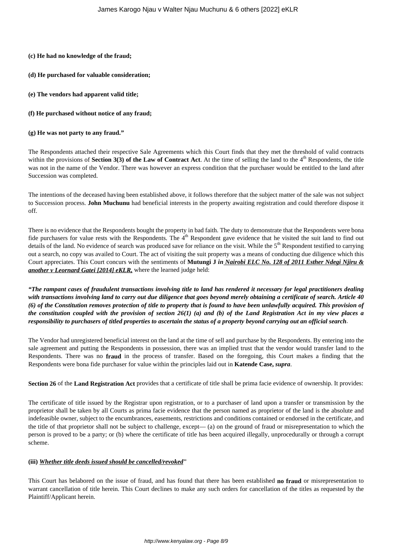#### **(c) He had no knowledge of the fraud;**

- **(d) He purchased for valuable consideration;**
- **(e) The vendors had apparent valid title;**
- **(f) He purchased without notice of any fraud;**
- **(g) He was not party to any fraud."**

The Respondents attached their respective Sale Agreements which this Court finds that they met the threshold of valid contracts within the provisions of **Section 3(3) of the Law of Contract Act**. At the time of selling the land to the 4<sup>th</sup> Respondents, the title was not in the name of the Vendor. There was however an express condition that the purchaser would be entitled to the land after Succession was completed.

The intentions of the deceased having been established above, it follows therefore that the subject matter of the sale was not subject to Succession process. **John Muchunu** had beneficial interests in the property awaiting registration and could therefore dispose it off.

There is no evidence that the Respondents bought the property in bad faith. The duty to demonstrate that the Respondents were bona fide purchasers for value rests with the Respondents. The 4<sup>th</sup> Respondent gave evidence that he visited the suit land to find out details of the land. No evidence of search was produced save for reliance on the visit. While the 5<sup>th</sup> Respondent testified to carrying out a search, no copy was availed to Court. The act of visiting the suit property was a means of conducting due diligence which this Court appreciates. This Court concurs with the sentiments of **Mutungi J** *in Nairobi ELC No. 128 of 2011 Esther Ndegi Njiru & another v Leornard Gatei [2014] eKLR,* where the learned judge held:

*"The rampant cases of fraudulent transactions involving title to land has rendered it necessary for legal practitioners dealing with transactions involving land to carry out due diligence that goes beyond merely obtaining a certificate of search. Article 40 (6) of the Constitution removes protection of title to property that is found to have been unlawfully acquired. This provision of the constitution coupled with the provision of section 26(1) (a) and (b) of the Land Registration Act in my view places a responsibility to purchasers of titled properties to ascertain the status of a property beyond carrying out an official search*.

The Vendor had unregistered beneficial interest on the land at the time of sell and purchase by the Respondents. By entering into the sale agreement and putting the Respondents in possession, there was an implied trust that the vendor would transfer land to the Respondents. There was no **fraud** in the process of transfer. Based on the foregoing, this Court makes a finding that the Respondents were bona fide purchaser for value within the principles laid out in **Katende Case,** *supra*.

**Section 26** of the **Land Registration Act** provides that a certificate of title shall be prima facie evidence of ownership. It provides:

The certificate of title issued by the Registrar upon registration, or to a purchaser of land upon a transfer or transmission by the proprietor shall be taken by all Courts as prima facie evidence that the person named as proprietor of the land is the absolute and indefeasible owner, subject to the encumbrances, easements, restrictions and conditions contained or endorsed in the certificate, and the title of that proprietor shall not be subject to challenge, except— (a) on the ground of fraud or misrepresentation to which the person is proved to be a party; or (b) where the certificate of title has been acquired illegally, unprocedurally or through a corrupt scheme.

#### **(iii)** *Whether title deeds issued should be cancelled/revoked***"**

This Court has belabored on the issue of fraud, and has found that there has been established **no fraud** or misrepresentation to warrant cancellation of title herein. This Court declines to make any such orders for cancellation of the titles as requested by the Plaintiff/Applicant herein.